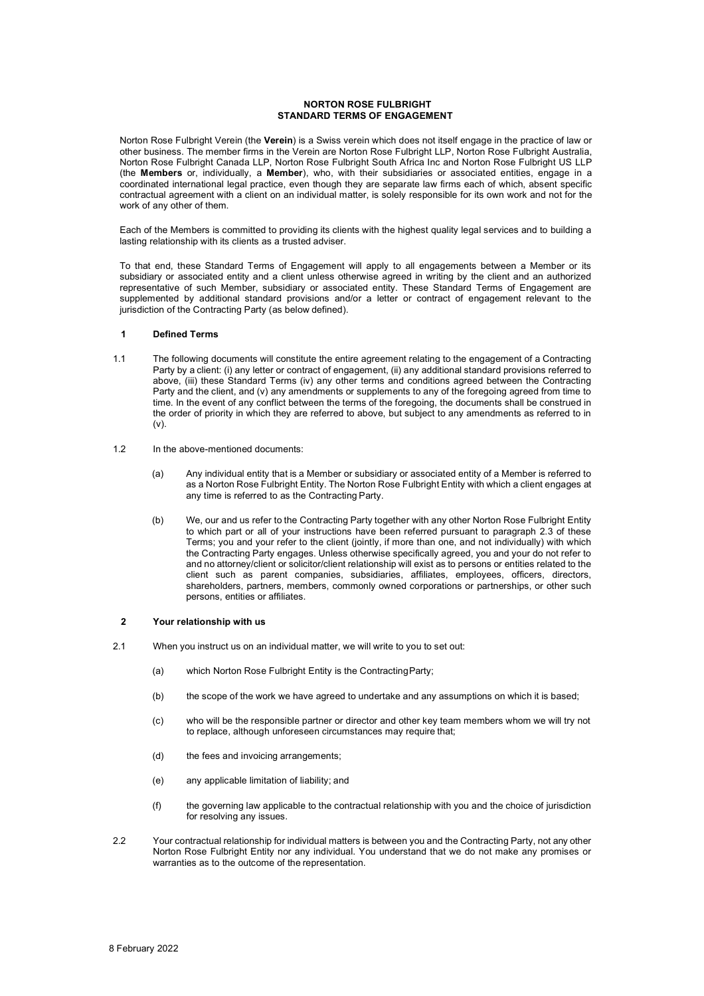### **NORTON ROSE FULBRIGHT STANDARD TERMS OF ENGAGEMENT**

Norton Rose Fulbright Verein (the **Verein**) is a Swiss verein which does not itself engage in the practice of law or other business. The member firms in the Verein are Norton Rose Fulbright LLP, Norton Rose Fulbright Australia, Norton Rose Fulbright Canada LLP, Norton Rose Fulbright South Africa Inc and Norton Rose Fulbright US LLP (the **Members** or, individually, a **Member**), who, with their subsidiaries or associated entities, engage in a coordinated international legal practice, even though they are separate law firms each of which, absent specific contractual agreement with a client on an individual matter, is solely responsible for its own work and not for the work of any other of them.

Each of the Members is committed to providing its clients with the highest quality legal services and to building a lasting relationship with its clients as a trusted adviser.

To that end, these Standard Terms of Engagement will apply to all engagements between a Member or its subsidiary or associated entity and a client unless otherwise agreed in writing by the client and an authorized representative of such Member, subsidiary or associated entity. These Standard Terms of Engagement are supplemented by additional standard provisions and/or a letter or contract of engagement relevant to the jurisdiction of the Contracting Party (as below defined).

### **1 Defined Terms**

- 1.1 The following documents will constitute the entire agreement relating to the engagement of a Contracting Party by a client: (i) any letter or contract of engagement, (ii) any additional standard provisions referred to above, (iii) these Standard Terms (iv) any other terms and conditions agreed between the Contracting Party and the client, and (v) any amendments or supplements to any of the foregoing agreed from time to time. In the event of any conflict between the terms of the foregoing, the documents shall be construed in the order of priority in which they are referred to above, but subject to any amendments as referred to in  $(v)$ .
- 1.2 In the above-mentioned documents:
	- (a) Any individual entity that is a Member or subsidiary or associated entity of a Member is referred to as a Norton Rose Fulbright Entity. The Norton Rose Fulbright Entity with which a client engages at any time is referred to as the Contracting Party.
	- (b) We, our and us refer to the Contracting Party together with any other Norton Rose Fulbright Entity to which part or all of your instructions have been referred pursuant to paragraph 2.3 of these Terms; you and your refer to the client (jointly, if more than one, and not individually) with which the Contracting Party engages. Unless otherwise specifically agreed, you and your do not refer to and no attorney/client or solicitor/client relationship will exist as to persons or entities related to the client such as parent companies, subsidiaries, affiliates, employees, officers, directors, shareholders, partners, members, commonly owned corporations or partnerships, or other such persons, entities or affiliates.

### **2 Your relationship with us**

- 2.1 When you instruct us on an individual matter, we will write to you to set out:
	- (a) which Norton Rose Fulbright Entity is the ContractingParty;
	- (b) the scope of the work we have agreed to undertake and any assumptions on which it is based;
	- (c) who will be the responsible partner or director and other key team members whom we will try not to replace, although unforeseen circumstances may require that;
	- (d) the fees and invoicing arrangements;
	- (e) any applicable limitation of liability; and
	- (f) the governing law applicable to the contractual relationship with you and the choice of jurisdiction for resolving any issues.
- 2.2 Your contractual relationship for individual matters is between you and the Contracting Party, not any other Norton Rose Fulbright Entity nor any individual. You understand that we do not make any promises or warranties as to the outcome of the representation.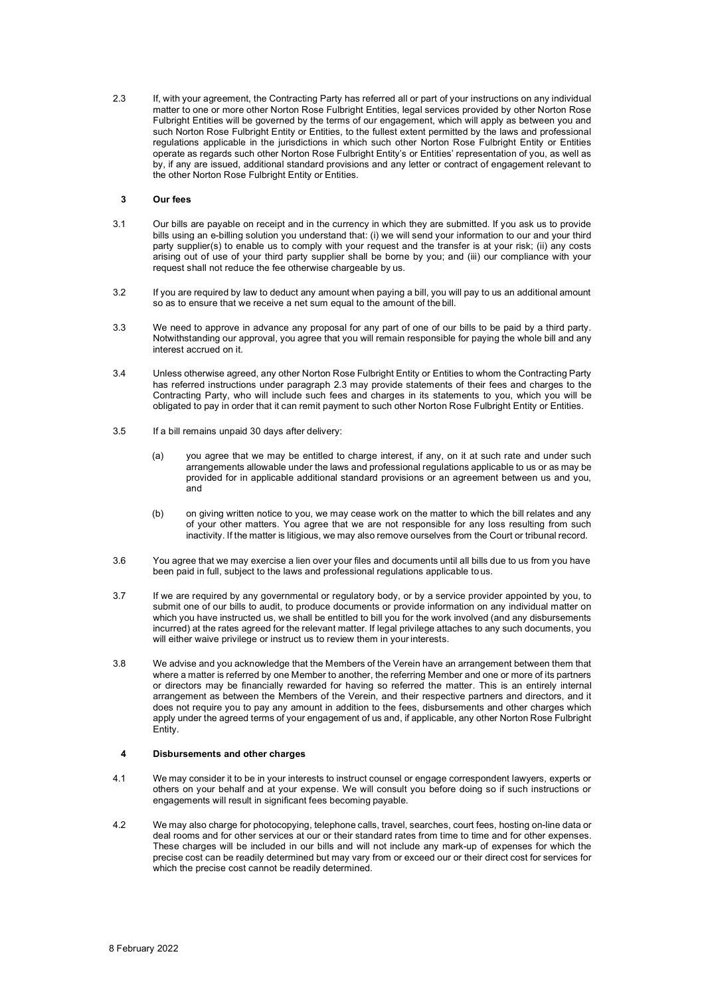2.3 If, with your agreement, the Contracting Party has referred all or part of your instructions on any individual matter to one or more other Norton Rose Fulbright Entities, legal services provided by other Norton Rose Fulbright Entities will be governed by the terms of our engagement, which will apply as between you and such Norton Rose Fulbright Entity or Entities, to the fullest extent permitted by the laws and professional regulations applicable in the jurisdictions in which such other Norton Rose Fulbright Entity or Entities operate as regards such other Norton Rose Fulbright Entity's or Entities' representation of you, as well as by, if any are issued, additional standard provisions and any letter or contract of engagement relevant to the other Norton Rose Fulbright Entity or Entities.

# **3 Our fees**

- 3.1 Our bills are payable on receipt and in the currency in which they are submitted. If you ask us to provide bills using an e-billing solution you understand that: (i) we will send your information to our and your third party supplier(s) to enable us to comply with your request and the transfer is at your risk; (ii) any costs arising out of use of your third party supplier shall be borne by you; and (iii) our compliance with your request shall not reduce the fee otherwise chargeable by us.
- 3.2 If you are required by law to deduct any amount when paying a bill, you will pay to us an additional amount so as to ensure that we receive a net sum equal to the amount of the bill.
- 3.3 We need to approve in advance any proposal for any part of one of our bills to be paid by a third party. Notwithstanding our approval, you agree that you will remain responsible for paying the whole bill and any interest accrued on it.
- 3.4 Unless otherwise agreed, any other Norton Rose Fulbright Entity or Entities to whom the Contracting Party has referred instructions under paragraph 2.3 may provide statements of their fees and charges to the Contracting Party, who will include such fees and charges in its statements to you, which you will be obligated to pay in order that it can remit payment to such other Norton Rose Fulbright Entity or Entities.
- 3.5 If a bill remains unpaid 30 days after delivery:
	- (a) you agree that we may be entitled to charge interest, if any, on it at such rate and under such arrangements allowable under the laws and professional regulations applicable to us or as may be provided for in applicable additional standard provisions or an agreement between us and you, and
	- (b) on giving written notice to you, we may cease work on the matter to which the bill relates and any of your other matters. You agree that we are not responsible for any loss resulting from such inactivity. If the matter is litigious, we may also remove ourselves from the Court or tribunal record.
- 3.6 You agree that we may exercise a lien over your files and documents until all bills due to us from you have been paid in full, subject to the laws and professional regulations applicable to us.
- 3.7 If we are required by any governmental or regulatory body, or by a service provider appointed by you, to submit one of our bills to audit, to produce documents or provide information on any individual matter on which you have instructed us, we shall be entitled to bill you for the work involved (and any disbursements incurred) at the rates agreed for the relevant matter. If legal privilege attaches to any such documents, you will either waive privilege or instruct us to review them in your interests.
- 3.8 We advise and you acknowledge that the Members of the Verein have an arrangement between them that where a matter is referred by one Member to another, the referring Member and one or more of its partners or directors may be financially rewarded for having so referred the matter. This is an entirely internal arrangement as between the Members of the Verein, and their respective partners and directors, and it does not require you to pay any amount in addition to the fees, disbursements and other charges which apply under the agreed terms of your engagement of us and, if applicable, any other Norton Rose Fulbright Entity.

#### **4 Disbursements and other charges**

- 4.1 We may consider it to be in your interests to instruct counsel or engage correspondent lawyers, experts or others on your behalf and at your expense. We will consult you before doing so if such instructions or engagements will result in significant fees becoming payable.
- 4.2 We may also charge for photocopying, telephone calls, travel, searches, court fees, hosting on-line data or deal rooms and for other services at our or their standard rates from time to time and for other expenses. These charges will be included in our bills and will not include any mark-up of expenses for which the precise cost can be readily determined but may vary from or exceed our or their direct cost for services for which the precise cost cannot be readily determined.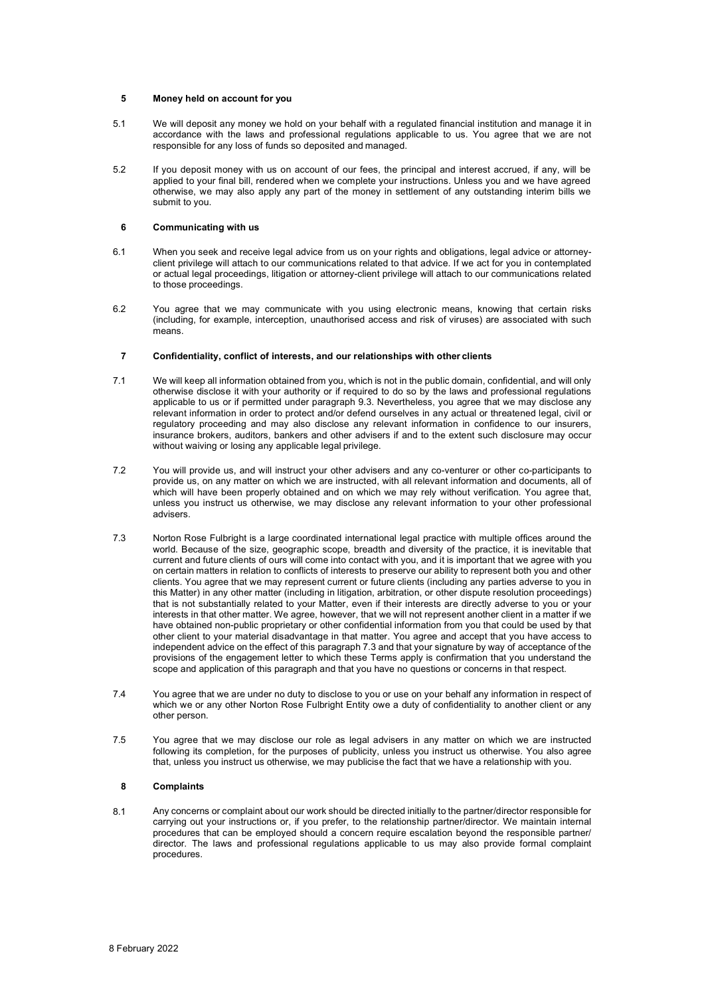# **5 Money held on account for you**

- 5.1 We will deposit any money we hold on your behalf with a regulated financial institution and manage it in accordance with the laws and professional regulations applicable to us. You agree that we are not responsible for any loss of funds so deposited and managed.
- 5.2 If you deposit money with us on account of our fees, the principal and interest accrued, if any, will be applied to your final bill, rendered when we complete your instructions. Unless you and we have agreed otherwise, we may also apply any part of the money in settlement of any outstanding interim bills we submit to you.

# **6 Communicating with us**

- 6.1 When you seek and receive legal advice from us on your rights and obligations, legal advice or attorneyclient privilege will attach to our communications related to that advice. If we act for you in contemplated or actual legal proceedings, litigation or attorney-client privilege will attach to our communications related to those proceedings.
- 6.2 You agree that we may communicate with you using electronic means, knowing that certain risks (including, for example, interception, unauthorised access and risk of viruses) are associated with such means.

#### **7 Confidentiality, conflict of interests, and our relationships with other clients**

- 7.1 We will keep all information obtained from you, which is not in the public domain, confidential, and will only otherwise disclose it with your authority or if required to do so by the laws and professional regulations applicable to us or if permitted under paragraph 9.3. Nevertheless, you agree that we may disclose any relevant information in order to protect and/or defend ourselves in any actual or threatened legal, civil or regulatory proceeding and may also disclose any relevant information in confidence to our insurers, insurance brokers, auditors, bankers and other advisers if and to the extent such disclosure may occur without waiving or losing any applicable legal privilege.
- 7.2 You will provide us, and will instruct your other advisers and any co-venturer or other co-participants to provide us, on any matter on which we are instructed, with all relevant information and documents, all of which will have been properly obtained and on which we may rely without verification. You agree that, unless you instruct us otherwise, we may disclose any relevant information to your other professional advisers.
- 7.3 Norton Rose Fulbright is a large coordinated international legal practice with multiple offices around the world. Because of the size, geographic scope, breadth and diversity of the practice, it is inevitable that current and future clients of ours will come into contact with you, and it is important that we agree with you on certain matters in relation to conflicts of interests to preserve our ability to represent both you and other clients. You agree that we may represent current or future clients (including any parties adverse to you in this Matter) in any other matter (including in litigation, arbitration, or other dispute resolution proceedings) that is not substantially related to your Matter, even if their interests are directly adverse to you or your interests in that other matter. We agree, however, that we will not represent another client in a matter if we have obtained non-public proprietary or other confidential information from you that could be used by that other client to your material disadvantage in that matter. You agree and accept that you have access to independent advice on the effect of this paragraph 7.3 and that your signature by way of acceptance of the provisions of the engagement letter to which these Terms apply is confirmation that you understand the scope and application of this paragraph and that you have no questions or concerns in that respect.
- 7.4 You agree that we are under no duty to disclose to you or use on your behalf any information in respect of which we or any other Norton Rose Fulbright Entity owe a duty of confidentiality to another client or any other person.
- 7.5 You agree that we may disclose our role as legal advisers in any matter on which we are instructed following its completion, for the purposes of publicity, unless you instruct us otherwise. You also agree that, unless you instruct us otherwise, we may publicise the fact that we have a relationship with you.

# **8 Complaints**

8.1 Any concerns or complaint about our work should be directed initially to the partner/director responsible for carrying out your instructions or, if you prefer, to the relationship partner/director. We maintain internal procedures that can be employed should a concern require escalation beyond the responsible partner/ director. The laws and professional regulations applicable to us may also provide formal complaint procedures.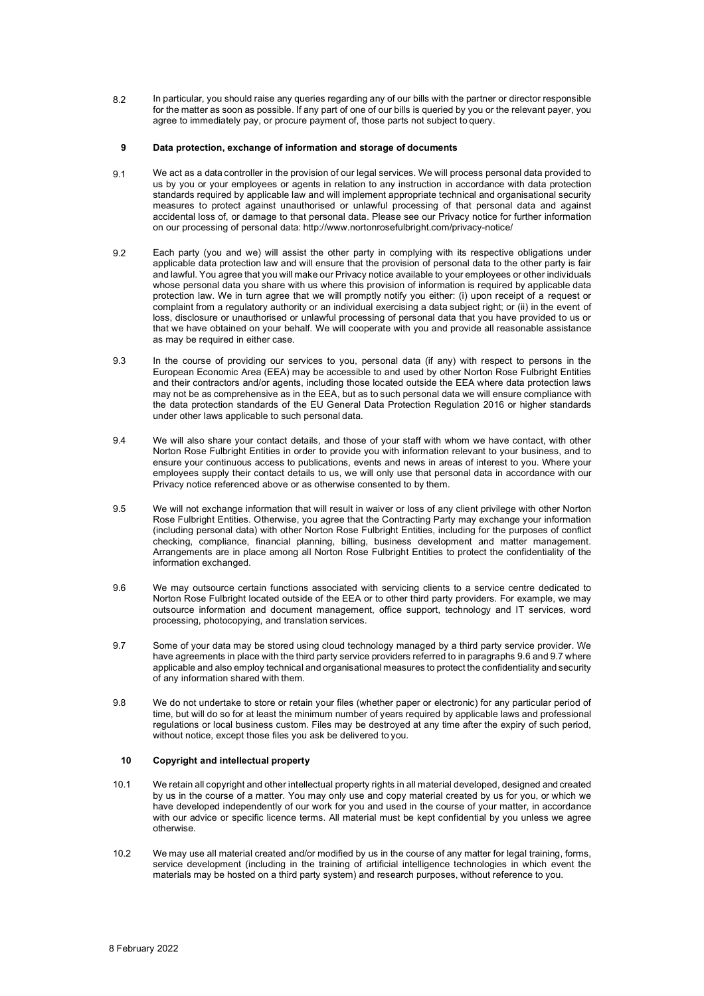8.2 In particular, you should raise any queries regarding any of our bills with the partner or director responsible for the matter as soon as possible. If any part of one of our bills is queried by you or the relevant payer, you agree to immediately pay, or procure payment of, those parts not subject to query.

### **9 Data protection, exchange of information and storage of documents**

- 9.1 We act as a data controller in the provision of our legal services. We will process personal data provided to us by you or your employees or agents in relation to any instruction in accordance with data protection standards required by applicable law and will implement appropriate technical and organisational security measures to protect against unauthorised or unlawful processing of that personal data and against accidental loss of, or damage to that personal data. Please see our Privacy notice for further information on our processing of personal data: http://www.nortonrosefulbright.com/privacy-notice/
- 9.2 Each party (you and we) will assist the other party in complying with its respective obligations under applicable data protection law and will ensure that the provision of personal data to the other party is fair and lawful. You agree that you will make our Privacy notice available to your employees or other individuals whose personal data you share with us where this provision of information is required by applicable data protection law. We in turn agree that we will promptly notify you either: (i) upon receipt of a request or complaint from a regulatory authority or an individual exercising a data subject right; or (ii) in the event of loss, disclosure or unauthorised or unlawful processing of personal data that you have provided to us or that we have obtained on your behalf. We will cooperate with you and provide all reasonable assistance as may be required in either case.
- 9.3 In the course of providing our services to you, personal data (if any) with respect to persons in the European Economic Area (EEA) may be accessible to and used by other Norton Rose Fulbright Entities and their contractors and/or agents, including those located outside the EEA where data protection laws may not be as comprehensive as in the EEA, but as to such personal data we will ensure compliance with the data protection standards of the EU General Data Protection Regulation 2016 or higher standards under other laws applicable to such personal data.
- 9.4 We will also share your contact details, and those of your staff with whom we have contact, with other Norton Rose Fulbright Entities in order to provide you with information relevant to your business, and to ensure your continuous access to publications, events and news in areas of interest to you. Where your employees supply their contact details to us, we will only use that personal data in accordance with our Privacy notice referenced above or as otherwise consented to by them.
- 9.5 We will not exchange information that will result in waiver or loss of any client privilege with other Norton Rose Fulbright Entities. Otherwise, you agree that the Contracting Party may exchange your information (including personal data) with other Norton Rose Fulbright Entities, including for the purposes of conflict checking, compliance, financial planning, billing, business development and matter management. Arrangements are in place among all Norton Rose Fulbright Entities to protect the confidentiality of the information exchanged.
- 9.6 We may outsource certain functions associated with servicing clients to a service centre dedicated to Norton Rose Fulbright located outside of the EEA or to other third party providers. For example, we may outsource information and document management, office support, technology and IT services, word processing, photocopying, and translation services.
- 9.7 Some of your data may be stored using cloud technology managed by a third party service provider. We have agreements in place with the third party service providers referred to in paragraphs 9.6 and 9.7 where applicable and also employ technical and organisational measures to protect the confidentiality and security of any information shared with them.
- 9.8 We do not undertake to store or retain your files (whether paper or electronic) for any particular period of time, but will do so for at least the minimum number of years required by applicable laws and professional regulations or local business custom. Files may be destroyed at any time after the expiry of such period, without notice, except those files you ask be delivered to you.

# **10 Copyright and intellectual property**

- 10.1 We retain all copyright and other intellectual property rights in all material developed, designed and created by us in the course of a matter. You may only use and copy material created by us for you, or which we have developed independently of our work for you and used in the course of your matter, in accordance with our advice or specific licence terms. All material must be kept confidential by you unless we agree otherwise.
- 10.2 We may use all material created and/or modified by us in the course of any matter for legal training, forms, service development (including in the training of artificial intelligence technologies in which event the materials may be hosted on a third party system) and research purposes, without reference to you.